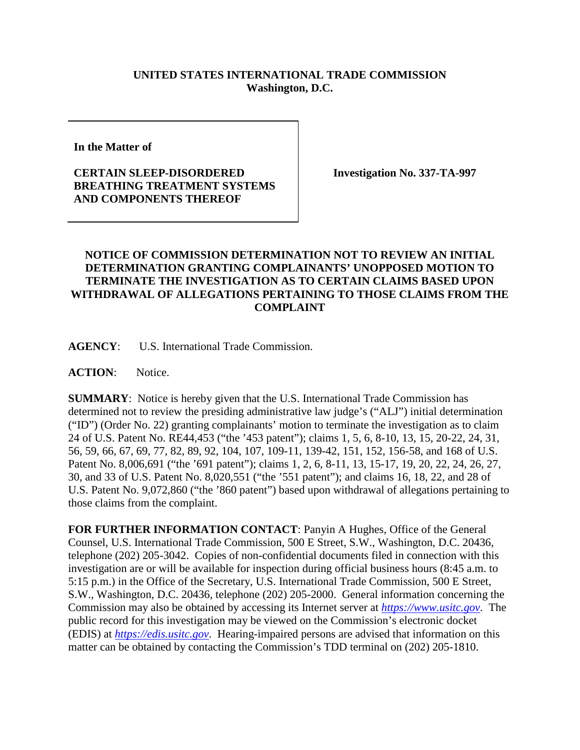## **UNITED STATES INTERNATIONAL TRADE COMMISSION Washington, D.C.**

**In the Matter of** 

## **CERTAIN SLEEP-DISORDERED BREATHING TREATMENT SYSTEMS AND COMPONENTS THEREOF**

**Investigation No. 337-TA-997**

## **NOTICE OF COMMISSION DETERMINATION NOT TO REVIEW AN INITIAL DETERMINATION GRANTING COMPLAINANTS' UNOPPOSED MOTION TO TERMINATE THE INVESTIGATION AS TO CERTAIN CLAIMS BASED UPON WITHDRAWAL OF ALLEGATIONS PERTAINING TO THOSE CLAIMS FROM THE COMPLAINT**

**AGENCY**: U.S. International Trade Commission.

**ACTION**: Notice.

**SUMMARY**: Notice is hereby given that the U.S. International Trade Commission has determined not to review the presiding administrative law judge's ("ALJ") initial determination ("ID") (Order No. 22) granting complainants' motion to terminate the investigation as to claim 24 of U.S. Patent No. RE44,453 ("the '453 patent"); claims 1, 5, 6, 8-10, 13, 15, 20-22, 24, 31, 56, 59, 66, 67, 69, 77, 82, 89, 92, 104, 107, 109-11, 139-42, 151, 152, 156-58, and 168 of U.S. Patent No. 8,006,691 ("the '691 patent"); claims 1, 2, 6, 8-11, 13, 15-17, 19, 20, 22, 24, 26, 27, 30, and 33 of U.S. Patent No. 8,020,551 ("the '551 patent"); and claims 16, 18, 22, and 28 of U.S. Patent No. 9,072,860 ("the '860 patent") based upon withdrawal of allegations pertaining to those claims from the complaint.

**FOR FURTHER INFORMATION CONTACT**: Panyin A Hughes, Office of the General Counsel, U.S. International Trade Commission, 500 E Street, S.W., Washington, D.C. 20436, telephone (202) 205-3042. Copies of non-confidential documents filed in connection with this investigation are or will be available for inspection during official business hours (8:45 a.m. to 5:15 p.m.) in the Office of the Secretary, U.S. International Trade Commission, 500 E Street, S.W., Washington, D.C. 20436, telephone (202) 205-2000. General information concerning the Commission may also be obtained by accessing its Internet server at *[https://www.usitc.gov](https://www.usitc.gov/)*. The public record for this investigation may be viewed on the Commission's electronic docket (EDIS) at *[https://edis.usitc.gov](https://edis.usitc.gov/)*. Hearing-impaired persons are advised that information on this matter can be obtained by contacting the Commission's TDD terminal on (202) 205-1810.